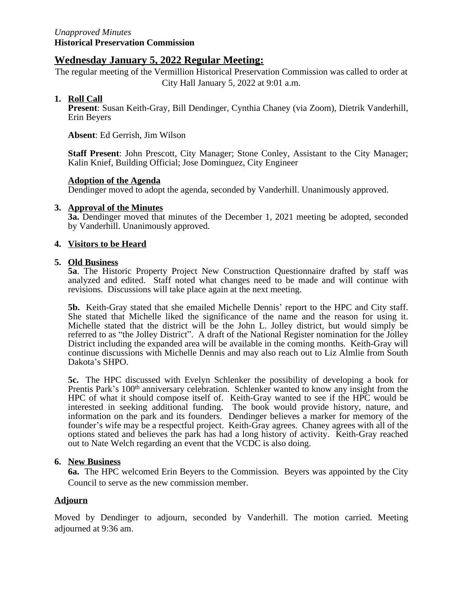# **Wednesday January 5, 2022 Regular Meeting:**

The regular meeting of the Vermillion Historical Preservation Commission was called to order at City Hall January 5, 2022 at 9:01 a.m.

# **1. Roll Call**

**Present**: Susan Keith-Gray, Bill Dendinger, Cynthia Chaney (via Zoom), Dietrik Vanderhill, Erin Beyers

**Absent**: Ed Gerrish, Jim Wilson

**Staff Present**: John Prescott, City Manager; Stone Conley, Assistant to the City Manager; Kalin Knief, Building Official; Jose Dominguez, City Engineer

# **Adoption of the Agenda**

Dendinger moved to adopt the agenda, seconded by Vanderhill. Unanimously approved.

#### **3. Approval of the Minutes**

**3a.** Dendinger moved that minutes of the December 1, 2021 meeting be adopted, seconded by Vanderhill. Unanimously approved.

#### **4. Visitors to be Heard**

#### **5. Old Business**

**5a**. The Historic Property Project New Construction Questionnaire drafted by staff was analyzed and edited. Staff noted what changes need to be made and will continue with revisions. Discussions will take place again at the next meeting.

**5b.** Keith-Gray stated that she emailed Michelle Dennis' report to the HPC and City staff. She stated that Michelle liked the significance of the name and the reason for using it. Michelle stated that the district will be the John L. Jolley district, but would simply be referred to as "the Jolley District". A draft of the National Register nomination for the Jolley District including the expanded area will be available in the coming months. Keith-Gray will continue discussions with Michelle Dennis and may also reach out to Liz Almlie from South Dakota's SHPO.

**5c.** The HPC discussed with Evelyn Schlenker the possibility of developing a book for Prentis Park's 100<sup>th</sup> anniversary celebration. Schlenker wanted to know any insight from the HPC of what it should compose itself of. Keith-Gray wanted to see if the HPC would be interested in seeking additional funding. The book would provide history, nature, and information on the park and its founders. Dendinger believes a marker for memory of the founder's wife may be a respectful project. Keith-Gray agrees. Chaney agrees with all of the options stated and believes the park has had a long history of activity. Keith-Gray reached out to Nate Welch regarding an event that the VCDC is also doing.

# **6. New Business**

**6a.** The HPC welcomed Erin Beyers to the Commission. Beyers was appointed by the City Council to serve as the new commission member.

# **Adjourn**

Moved by Dendinger to adjourn, seconded by Vanderhill. The motion carried. Meeting adjourned at 9:36 am.